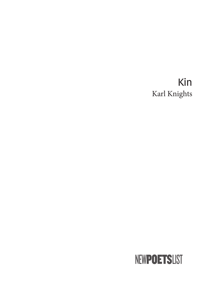# Kin Karl Knights

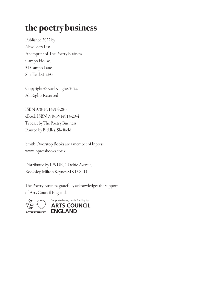# the poetry business

Published 2022 by New Poets List An imprint of The Poetry Business Campo House, 54 Campo Lane, Sheffield S1 2EG

Copyright © Karl Knights 2022 All Rights Reserved

ISBN 978-1-914914-28-7 eBook ISBN 978-1-914914-29-4 Typeset by The Poetry Business Printed by Biddles, Sheffield

Smith|Doorstop Books are a member of Inpress: www.inpressbooks.co.uk

Distributed by IPS UK, 1 Deltic Avenue, Rooksley, Milton Keynes MK13 8LD

The Poetry Business gratefully acknowledges the support of Arts Council England.

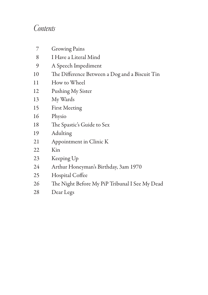### Contents

| 7  | <b>Growing Pains</b>                           |
|----|------------------------------------------------|
| 8  | I Have a Literal Mind                          |
| 9  | A Speech Impediment                            |
| 10 | The Difference Between a Dog and a Biscuit Tin |
| 11 | How to Wheel                                   |
| 12 | Pushing My Sister                              |
| 13 | My Wards                                       |
| 15 | <b>First Meeting</b>                           |
| 16 | Physio                                         |
| 18 | The Spastic's Guide to Sex                     |
| 19 | Adulting                                       |
| 21 | Appointment in Clinic K                        |
| 22 | Kin                                            |
| 23 | Keeping Up                                     |
| 24 | Arthur Honeyman's Birthday, 3am 1970           |
| 25 | Hospital Coffee                                |
| 26 | The Night Before My PiP Tribunal I See My Dead |
| 28 | Dear Legs                                      |
|    |                                                |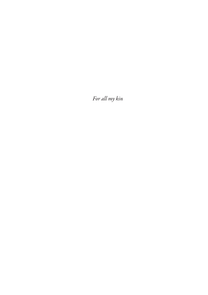*For all my kin*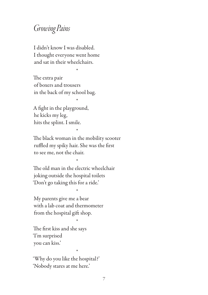### *Growing Pains*

I didn't know I was disabled. I thought everyone went home and sat in their wheelchairs.

\*

\*

The extra pair of boxers and trousers in the back of my school bag.

A fight in the playground, he kicks my leg, hits the splint. I smile.

The black woman in the mobility scooter ruffled my spiky hair. She was the first to see me, not the chair.

\*

\*

\*

\*

\*

The old man in the electric wheelchair joking outside the hospital toilets 'Don't go taking this for a ride.'

My parents give me a bear with a lab coat and thermometer from the hospital gift shop.

The first kiss and she says 'I'm surprised you can kiss.'

'Why do you like the hospital?' 'Nobody stares at me here.'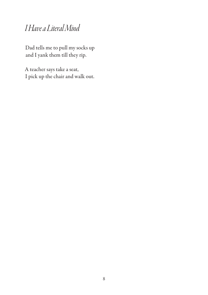### *I Have a Literal Mind*

Dad tells me to pull my socks up and I yank them till they rip.

A teacher says take a seat, I pick up the chair and walk out.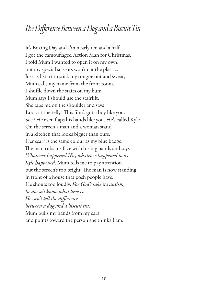## !*e Di*"*erence Between a Dog and a Biscuit Tin*

It's Boxing Day and I'm nearly ten and a half. I got the camouflaged Action Man for Christmas. I told Mum I wanted to open it on my own, but my special scissors won't cut the plastic. Just as I start to stick my tongue out and sweat, Mum calls my name from the front room. I shuffle down the stairs on my bum. Mum says I should use the stairlift. She taps me on the shoulder and says 'Look at the telly! This film's got a boy like you. See? He even flaps his hands like you. He's called Kyle.' On the screen a man and a woman stand in a kitchen that looks bigger than ours. Her scarf is the same colour as my blue badge. The man rubs his face with his big hands and says *Whatever happened Nic, whatever happened to us? Kyle happened*. Mum tells me to pay attention but the screen's too bright. The man is now standing in front of a house that posh people have. He shouts too loudly, *For God's sake it's autism, he doesn't know what lo*v*e is. He can't tell the difference between a dog and a biscuit tin*. Mum pulls my hands from my ears and points toward the person she thinks I am.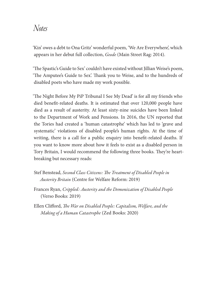#### *Notes*

'Kin' owes a debt to Ona Gritz' wonderful poem, 'We Are Everywhere', which appears in her debut full collection, *Geode* (Main Street Rag: 2014).

'The Spastic's Guide to Sex' couldn't have existed without Jillian Weise's poem, 'The Amputee's Guide to Sex'. Thank you to Weise, and to the hundreds of disabled poets who have made my work possible.

'The Night Before My PiP Tribunal I See My Dead' is for all my friends who died benefit-related deaths. It is estimated that over 120,000 people have died as a result of austerity. At least sixty-nine suicides have been linked to the Department of Work and Pensions. In 2016, the UN reported that the Tories had created a 'human catastrophe' which has led to 'grave and systematic' violations of disabled people's human rights. At the time of writing, there is a call for a public enquiry into benefit-related deaths. If you want to know more about how it feels to exist as a disabled person in Tory Britain, I would recommend the following three books. They're heartbreaking but necessary reads:

- Stef Benstead, *Second Class Citizens:* #*e Treatment of Disabled People in Austerity Britain* (Centre for Welfare Reform: 2019)
- Frances Ryan, *Crippled: Austerity and the Demonization of Disabled People* (Verso Books: 2019)

Ellen Clifford, *The War on Disabled People: Capitalism, Welfare, and the Making of a Human Catastrophe* (Zed Books: 2020)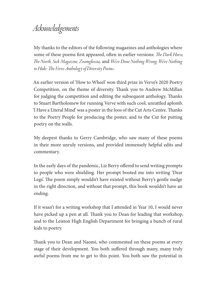## *Acknowledgements*

My thanks to the editors of the following magazines and anthologies where some of these poems first appeared, often in earlier versions: *The Dark Horse*, !*e North, Sick Magazine, Zoomglossia,* and *We've Done Nothing Wrong, We've Nothing to Hide:* !*e Verve Anthology of Diversity Poems*.

An earlier version of 'How to Wheel' won third prize in Verve's 2020 Poetry Competition, on the theme of diversity. Thank you to Andrew McMillan for judging the competition and editing the subsequent anthology. Thanks to Stuart Bartholomew for running Verve with such cool, unrattled aplomb. 'I Have a Literal Mind' was a poster in the loos of the Cut Arts Centre. Thanks to the Poetry People for producing the poster, and to the Cut for putting poetry on the walls.

My deepest thanks to Gerry Cambridge, who saw many of these poems in their more unruly versions, and provided immensely helpful edits and commentary.

In the early days of the pandemic, Liz Berry offered to send writing prompts to people who were shielding. Her prompt booted me into writing 'Dear Legs'. The poem simply wouldn't have existed without Berry's gentle nudge in the right direction, and without that prompt, this book wouldn't have an ending.

If it wasn't for a writing workshop that I attended in Year 10, I would never have picked up a pen at all. Thank you to Dean for leading that workshop, and to the Leiston High English Department for bringing a bunch of rural kids to poetry.

Thank you to Dean and Naomi, who commented on these poems at every stage of their development. You both suffered through many, many truly awful poems from me to get to this point. You both saw the potential in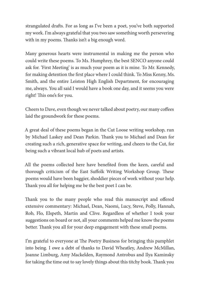strangulated drafts. For as long as I've been a poet, you've both supported my work. I'm always grateful that you two saw something worth persevering with in my poems. Thanks isn't a big enough word.

Many generous hearts were instrumental in making me the person who could write these poems. To Ms. Humphrey, the best SENCO anyone could ask for. 'First Meeting' is as much your poem as it is mine. To Mr. Kennedy, for making detention the first place where I could think. To Miss Kenny, Ms. Smith, and the entire Leiston High English Department, for encouraging me, always. You all said I would have a book one day, and it seems you were right! This one's for you.

Cheers to Dave, even though we never talked about poetry, our many coffees laid the groundwork for these poems.

A great deal of these poems began in the Cut Loose writing workshop, run by Michael Laskey and Dean Parkin. Thank you to Michael and Dean for creating such a rich, generative space for writing, and cheers to the Cut, for being such a vibrant local hub of poets and artists.

All the poems collected here have benefited from the keen, careful and thorough criticism of the East Suffolk Writing Workshop Group. These poems would have been baggier, shoddier pieces of work without your help. Thank you all for helping me be the best poet I can be.

Thank you to the many people who read this manuscript and offered extensive commentary: Michael, Dean, Naomi, Lucy, Steve, Polly, Hannah, Rob, Flo, Elspeth, Martin and Clive. Regardless of whether I took your suggestions on board or not, all your comments helped me know the poems better. Thank you all for your deep engagement with these small poems.

I'm grateful to everyone at The Poetry Business for bringing this pamphlet into being. I owe a debt of thanks to David Wheatley, Andrew McMillan, Joanne Limburg, Amy Mackelden, Raymond Antrobus and Ilya Kaminsky for taking the time out to say lovely things about this titchy book. Thank you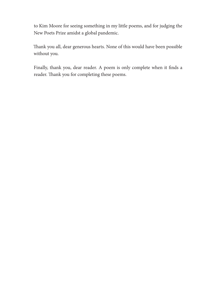to Kim Moore for seeing something in my little poems, and for judging the New Poets Prize amidst a global pandemic.

Thank you all, dear generous hearts. None of this would have been possible without you.

Finally, thank you, dear reader. A poem is only complete when it finds a reader. Thank you for completing these poems.